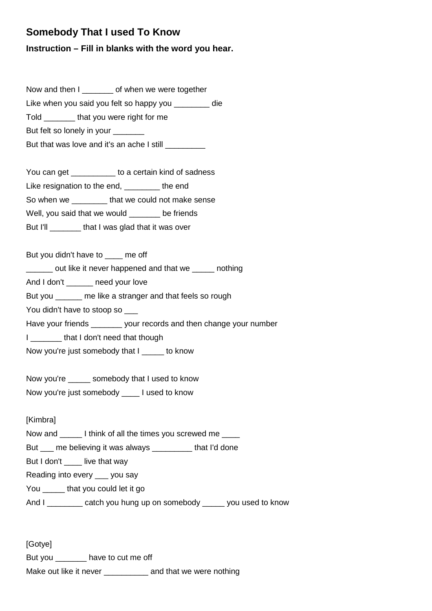## **Somebody That I used To Know**

## **Instruction – Fill in blanks with the word you hear.**

Now and then I \_\_\_\_\_\_\_ of when we were together Like when you said you felt so happy you \_\_\_\_\_\_\_\_ die Told **that you were right for me** But felt so lonely in your But that was love and it's an ache I still \_\_\_\_\_\_\_\_\_ You can get The State to a certain kind of sadness Like resignation to the end, \_\_\_\_\_\_\_\_ the end So when we \_\_\_\_\_\_\_\_ that we could not make sense Well, you said that we would \_\_\_\_\_\_ be friends

But I'll **Example 2** that I was glad that it was over

But you didn't have to me off

\_\_\_\_\_\_ out like it never happened and that we \_\_\_\_\_ nothing

And I don't eneed your love

But you \_\_\_\_\_\_ me like a stranger and that feels so rough

You didn't have to stoop so \_\_\_

Have your friends your records and then change your number

I \_\_\_\_\_\_\_ that I don't need that though

Now you're just somebody that I come know

Now you're somebody that I used to know Now you're just somebody lused to know

[Kimbra]

Now and I think of all the times you screwed me \_\_\_\_

But \_\_\_ me believing it was always \_\_\_\_\_\_\_\_\_ that I'd done

But I don't live that way

Reading into every \_\_\_ you say

You **that you could let it go** 

And I \_\_\_\_\_\_\_\_ catch you hung up on somebody \_\_\_\_\_ you used to know

[Gotye] But you \_\_\_\_\_\_\_ have to cut me off Make out like it never **and that we were nothing**